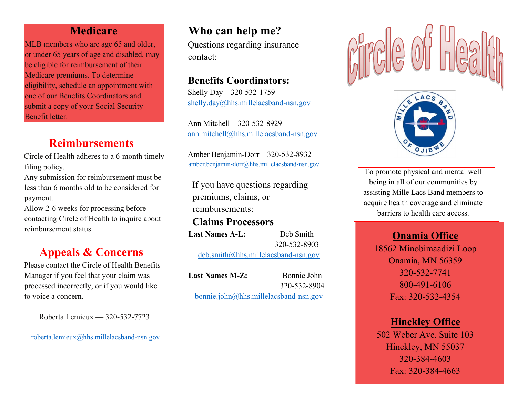## **Medicare**

MLB members who are age 65 and older, or under 65 years of age and disabled, may be eligible for reimbursement of their Medicare premiums. To determine eligibility, schedule an appointment with one of our Benefits Coordinators and submit a copy of your Social Security Benefit letter.

# **Reimbursements**

Circle of Health adheres to a 6-month timely filing policy.

Any submission for reimbursement must be less than 6 months old to be considered for payment.

Allow 2-6 weeks for processing before contacting Circle of Health to inquire about reimbursement status.

# **Appeals & Concerns**

Please contact the Circle of Health Benefits Manager if you feel that your claim was processed incorrectly, or if you would like to voice a concern.

Roberta Lemieux — 320-532-7723

roberta.lemieux@hhs.millelacsband-nsn.gov

# **Who can help me?**

Questions regarding insurance contact:

# **Benefits Coordinators:**

Shelly Day – 320-532-1759 shelly.day@hhs.millelacsband-nsn.gov

Ann Mitchell – 320-532-8929 ann.mitchell@hhs.millelacsband-nsn.gov

Amber Benjamin-Dorr – 320-532-8932 amber.benjamin-dorr@hhs.millelacsband-nsn.gov

If you have questions regarding premiums, claims, or reimbursements:

**Claims Processors** Last Names A-L: Deb Smith 320-532-8903 deb.smith@hhs.millelacsband-nsn.gov

**Last Names M-Z:** Bonnie John

320-532-8904

bonnie.john@hhs.millelacsband-nsn.gov





To promote physical and mental well being in all of our communities by assisting Mille Lacs Band members to acquire health coverage and eliminate barriers to health care access.

## **Onamia Office**

18562 Minobimaadizi Loop Onamia, MN 56359 320-532-7741 800-491-6106 Fax: 320-532-4354

## **Hinckley Office**

502 Weber Ave. Suite 103 Hinckley, MN 55037 320-384-4603 Fax: 320-384-4663